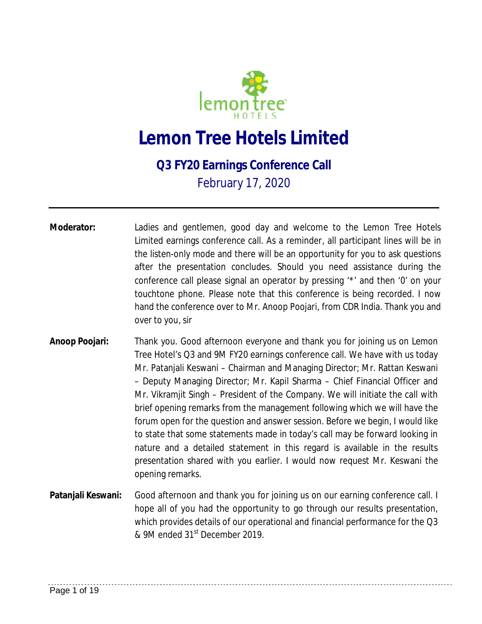

## **Lemon Tree Hotels Limited**

## **Q3 FY20 Earnings Conference Call**

February 17, 2020

- **Moderator:** Ladies and gentlemen, good day and welcome to the Lemon Tree Hotels Limited earnings conference call. As a reminder, all participant lines will be in the listen-only mode and there will be an opportunity for you to ask questions after the presentation concludes. Should you need assistance during the conference call please signal an operator by pressing '\*' and then '0' on your touchtone phone. Please note that this conference is being recorded. I now hand the conference over to Mr. Anoop Poojari, from CDR India. Thank you and over to you, sir
- **Anoop Poojari:** Thank you. Good afternoon everyone and thank you for joining us on Lemon Tree Hotel's Q3 and 9M FY20 earnings conference call. We have with us today Mr. Patanjali Keswani – Chairman and Managing Director; Mr. Rattan Keswani – Deputy Managing Director; Mr. Kapil Sharma – Chief Financial Officer and Mr. Vikramjit Singh – President of the Company. We will initiate the call with brief opening remarks from the management following which we will have the forum open for the question and answer session. Before we begin, I would like to state that some statements made in today's call may be forward looking in nature and a detailed statement in this regard is available in the results presentation shared with you earlier. I would now request Mr. Keswani the opening remarks.
- **Patanjali Keswani:** Good afternoon and thank you for joining us on our earning conference call. I hope all of you had the opportunity to go through our results presentation, which provides details of our operational and financial performance for the Q3 & 9M ended 31st December 2019.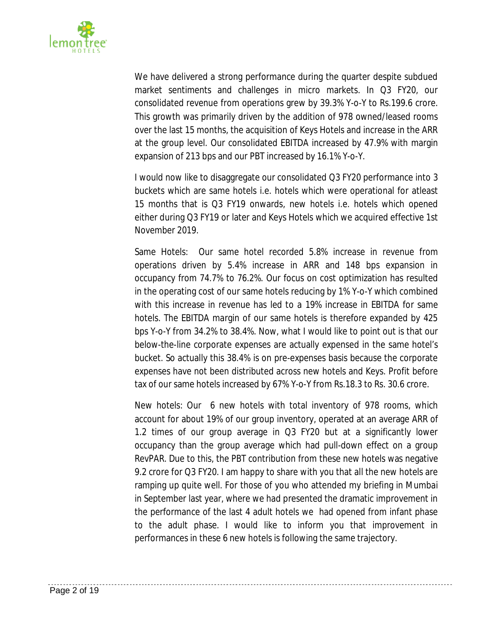

We have delivered a strong performance during the quarter despite subdued market sentiments and challenges in micro markets. In Q3 FY20, our consolidated revenue from operations grew by 39.3% Y-o-Y to Rs.199.6 crore. This growth was primarily driven by the addition of 978 owned/leased rooms over the last 15 months, the acquisition of Keys Hotels and increase in the ARR at the group level. Our consolidated EBITDA increased by 47.9% with margin expansion of 213 bps and our PBT increased by 16.1% Y-o-Y.

I would now like to disaggregate our consolidated Q3 FY20 performance into 3 buckets which are same hotels i.e. hotels which were operational for atleast 15 months that is Q3 FY19 onwards, new hotels i.e. hotels which opened either during Q3 FY19 or later and Keys Hotels which we acquired effective 1st November 2019.

Same Hotels: Our same hotel recorded 5.8% increase in revenue from operations driven by 5.4% increase in ARR and 148 bps expansion in occupancy from 74.7% to 76.2%. Our focus on cost optimization has resulted in the operating cost of our same hotels reducing by 1% Y-o-Y which combined with this increase in revenue has led to a 19% increase in EBITDA for same hotels. The EBITDA margin of our same hotels is therefore expanded by 425 bps Y-o-Y from 34.2% to 38.4%. Now, what I would like to point out is that our below-the-line corporate expenses are actually expensed in the same hotel's bucket. So actually this 38.4% is on pre-expenses basis because the corporate expenses have not been distributed across new hotels and Keys. Profit before tax of our same hotels increased by 67% Y-o-Y from Rs.18.3 to Rs. 30.6 crore.

New hotels: Our 6 new hotels with total inventory of 978 rooms, which account for about 19% of our group inventory, operated at an average ARR of 1.2 times of our group average in Q3 FY20 but at a significantly lower occupancy than the group average which had pull-down effect on a group RevPAR. Due to this, the PBT contribution from these new hotels was negative 9.2 crore for Q3 FY20. I am happy to share with you that all the new hotels are ramping up quite well. For those of you who attended my briefing in Mumbai in September last year, where we had presented the dramatic improvement in the performance of the last 4 adult hotels we had opened from infant phase to the adult phase. I would like to inform you that improvement in performances in these 6 new hotels is following the same trajectory.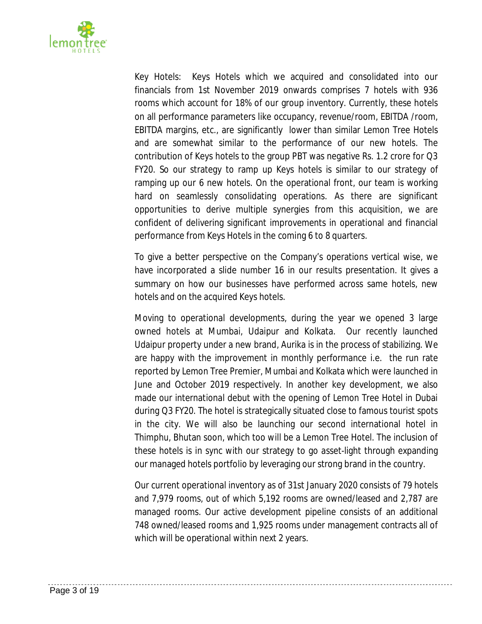

Key Hotels: Keys Hotels which we acquired and consolidated into our financials from 1st November 2019 onwards comprises 7 hotels with 936 rooms which account for 18% of our group inventory. Currently, these hotels on all performance parameters like occupancy, revenue/room, EBITDA /room, EBITDA margins, etc., are significantly lower than similar Lemon Tree Hotels and are somewhat similar to the performance of our new hotels. The contribution of Keys hotels to the group PBT was negative Rs. 1.2 crore for Q3 FY20. So our strategy to ramp up Keys hotels is similar to our strategy of ramping up our 6 new hotels. On the operational front, our team is working hard on seamlessly consolidating operations. As there are significant opportunities to derive multiple synergies from this acquisition, we are confident of delivering significant improvements in operational and financial performance from Keys Hotels in the coming 6 to 8 quarters.

To give a better perspective on the Company's operations vertical wise, we have incorporated a slide number 16 in our results presentation. It gives a summary on how our businesses have performed across same hotels, new hotels and on the acquired Keys hotels.

Moving to operational developments, during the year we opened 3 large owned hotels at Mumbai, Udaipur and Kolkata. Our recently launched Udaipur property under a new brand, Aurika is in the process of stabilizing. We are happy with the improvement in monthly performance i.e. the run rate reported by Lemon Tree Premier, Mumbai and Kolkata which were launched in June and October 2019 respectively. In another key development, we also made our international debut with the opening of Lemon Tree Hotel in Dubai during Q3 FY20. The hotel is strategically situated close to famous tourist spots in the city. We will also be launching our second international hotel in Thimphu, Bhutan soon, which too will be a Lemon Tree Hotel. The inclusion of these hotels is in sync with our strategy to go asset-light through expanding our managed hotels portfolio by leveraging our strong brand in the country.

Our current operational inventory as of 31st January 2020 consists of 79 hotels and 7,979 rooms, out of which 5,192 rooms are owned/leased and 2,787 are managed rooms. Our active development pipeline consists of an additional 748 owned/leased rooms and 1,925 rooms under management contracts all of which will be operational within next 2 years.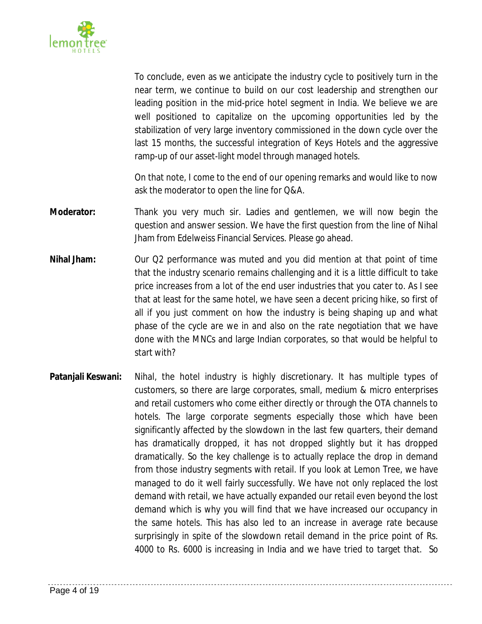

To conclude, even as we anticipate the industry cycle to positively turn in the near term, we continue to build on our cost leadership and strengthen our leading position in the mid-price hotel segment in India. We believe we are well positioned to capitalize on the upcoming opportunities led by the stabilization of very large inventory commissioned in the down cycle over the last 15 months, the successful integration of Keys Hotels and the aggressive ramp-up of our asset-light model through managed hotels.

On that note, I come to the end of our opening remarks and would like to now ask the moderator to open the line for Q&A.

- **Moderator:** Thank you very much sir. Ladies and gentlemen, we will now begin the question and answer session. We have the first question from the line of Nihal Jham from Edelweiss Financial Services. Please go ahead.
- **Nihal Jham:** Our Q2 performance was muted and you did mention at that point of time that the industry scenario remains challenging and it is a little difficult to take price increases from a lot of the end user industries that you cater to. As I see that at least for the same hotel, we have seen a decent pricing hike, so first of all if you just comment on how the industry is being shaping up and what phase of the cycle are we in and also on the rate negotiation that we have done with the MNCs and large Indian corporates, so that would be helpful to start with?
- **Patanjali Keswani:** Nihal, the hotel industry is highly discretionary. It has multiple types of customers, so there are large corporates, small, medium & micro enterprises and retail customers who come either directly or through the OTA channels to hotels. The large corporate segments especially those which have been significantly affected by the slowdown in the last few quarters, their demand has dramatically dropped, it has not dropped slightly but it has dropped dramatically. So the key challenge is to actually replace the drop in demand from those industry segments with retail. If you look at Lemon Tree, we have managed to do it well fairly successfully. We have not only replaced the lost demand with retail, we have actually expanded our retail even beyond the lost demand which is why you will find that we have increased our occupancy in the same hotels. This has also led to an increase in average rate because surprisingly in spite of the slowdown retail demand in the price point of Rs. 4000 to Rs. 6000 is increasing in India and we have tried to target that. So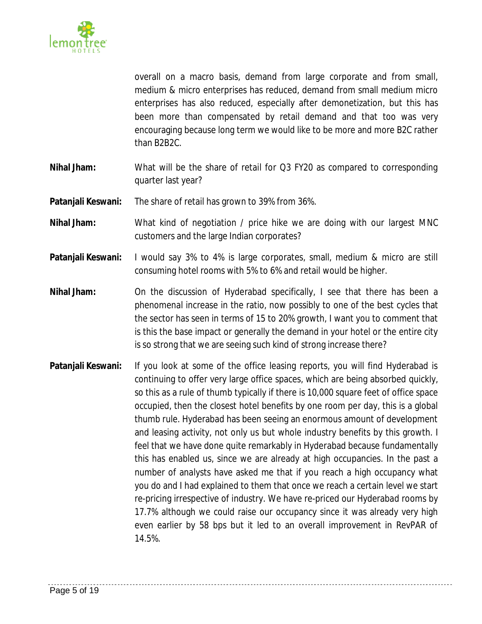

overall on a macro basis, demand from large corporate and from small, medium & micro enterprises has reduced, demand from small medium micro enterprises has also reduced, especially after demonetization, but this has been more than compensated by retail demand and that too was very encouraging because long term we would like to be more and more B2C rather than B2B2C.

- **Nihal Jham:** What will be the share of retail for Q3 FY20 as compared to corresponding quarter last year?
- **Patanjali Keswani:** The share of retail has grown to 39% from 36%.
- **Nihal Jham:** What kind of negotiation / price hike we are doing with our largest MNC customers and the large Indian corporates?
- **Patanjali Keswani:** I would say 3% to 4% is large corporates, small, medium & micro are still consuming hotel rooms with 5% to 6% and retail would be higher.
- **Nihal Jham:** On the discussion of Hyderabad specifically, I see that there has been a phenomenal increase in the ratio, now possibly to one of the best cycles that the sector has seen in terms of 15 to 20% growth, I want you to comment that is this the base impact or generally the demand in your hotel or the entire city is so strong that we are seeing such kind of strong increase there?
- **Patanjali Keswani:** If you look at some of the office leasing reports, you will find Hyderabad is continuing to offer very large office spaces, which are being absorbed quickly, so this as a rule of thumb typically if there is 10,000 square feet of office space occupied, then the closest hotel benefits by one room per day, this is a global thumb rule. Hyderabad has been seeing an enormous amount of development and leasing activity, not only us but whole industry benefits by this growth. I feel that we have done quite remarkably in Hyderabad because fundamentally this has enabled us, since we are already at high occupancies. In the past a number of analysts have asked me that if you reach a high occupancy what you do and I had explained to them that once we reach a certain level we start re-pricing irrespective of industry. We have re-priced our Hyderabad rooms by 17.7% although we could raise our occupancy since it was already very high even earlier by 58 bps but it led to an overall improvement in RevPAR of 14.5%.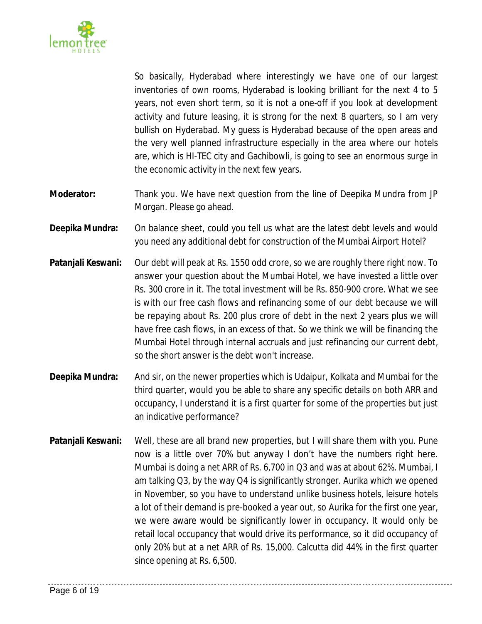

So basically, Hyderabad where interestingly we have one of our largest inventories of own rooms, Hyderabad is looking brilliant for the next 4 to 5 years, not even short term, so it is not a one-off if you look at development activity and future leasing, it is strong for the next 8 quarters, so I am very bullish on Hyderabad. My guess is Hyderabad because of the open areas and the very well planned infrastructure especially in the area where our hotels are, which is HI-TEC city and Gachibowli, is going to see an enormous surge in the economic activity in the next few years.

- **Moderator:** Thank you. We have next question from the line of Deepika Mundra from JP Morgan. Please go ahead.
- **Deepika Mundra:** On balance sheet, could you tell us what are the latest debt levels and would you need any additional debt for construction of the Mumbai Airport Hotel?
- **Patanjali Keswani:** Our debt will peak at Rs. 1550 odd crore, so we are roughly there right now. To answer your question about the Mumbai Hotel, we have invested a little over Rs. 300 crore in it. The total investment will be Rs. 850-900 crore. What we see is with our free cash flows and refinancing some of our debt because we will be repaying about Rs. 200 plus crore of debt in the next 2 years plus we will have free cash flows, in an excess of that. So we think we will be financing the Mumbai Hotel through internal accruals and just refinancing our current debt, so the short answer is the debt won't increase.
- **Deepika Mundra:** And sir, on the newer properties which is Udaipur, Kolkata and Mumbai for the third quarter, would you be able to share any specific details on both ARR and occupancy, I understand it is a first quarter for some of the properties but just an indicative performance?
- **Patanjali Keswani:** Well, these are all brand new properties, but I will share them with you. Pune now is a little over 70% but anyway I don't have the numbers right here. Mumbai is doing a net ARR of Rs. 6,700 in Q3 and was at about 62%. Mumbai, I am talking Q3, by the way Q4 is significantly stronger. Aurika which we opened in November, so you have to understand unlike business hotels, leisure hotels a lot of their demand is pre-booked a year out, so Aurika for the first one year, we were aware would be significantly lower in occupancy. It would only be retail local occupancy that would drive its performance, so it did occupancy of only 20% but at a net ARR of Rs. 15,000. Calcutta did 44% in the first quarter since opening at Rs. 6,500.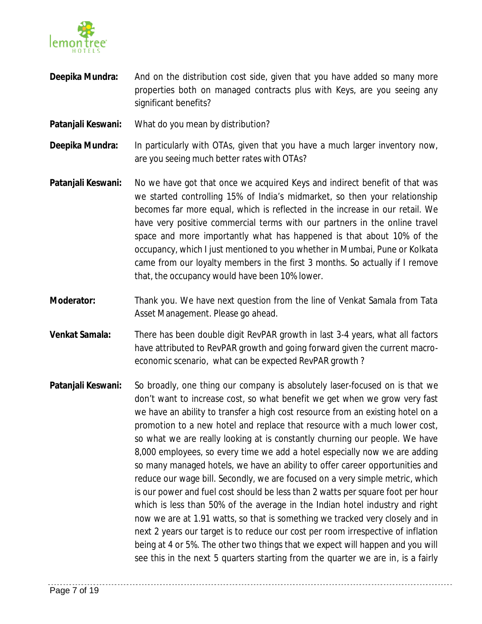

- **Deepika Mundra:** And on the distribution cost side, given that you have added so many more properties both on managed contracts plus with Keys, are you seeing any significant benefits?
- **Patanjali Keswani:** What do you mean by distribution?
- **Deepika Mundra:** In particularly with OTAs, given that you have a much larger inventory now, are you seeing much better rates with OTAs?
- **Patanjali Keswani:** No we have got that once we acquired Keys and indirect benefit of that was we started controlling 15% of India's midmarket, so then your relationship becomes far more equal, which is reflected in the increase in our retail. We have very positive commercial terms with our partners in the online travel space and more importantly what has happened is that about 10% of the occupancy, which I just mentioned to you whether in Mumbai, Pune or Kolkata came from our loyalty members in the first 3 months. So actually if I remove that, the occupancy would have been 10% lower.
- **Moderator:** Thank you. We have next question from the line of Venkat Samala from Tata Asset Management. Please go ahead.
- **Venkat Samala:** There has been double digit RevPAR growth in last 3-4 years, what all factors have attributed to RevPAR growth and going forward given the current macroeconomic scenario, what can be expected RevPAR growth ?
- **Patanjali Keswani:** So broadly, one thing our company is absolutely laser-focused on is that we don't want to increase cost, so what benefit we get when we grow very fast we have an ability to transfer a high cost resource from an existing hotel on a promotion to a new hotel and replace that resource with a much lower cost, so what we are really looking at is constantly churning our people. We have 8,000 employees, so every time we add a hotel especially now we are adding so many managed hotels, we have an ability to offer career opportunities and reduce our wage bill. Secondly, we are focused on a very simple metric, which is our power and fuel cost should be less than 2 watts per square foot per hour which is less than 50% of the average in the Indian hotel industry and right now we are at 1.91 watts, so that is something we tracked very closely and in next 2 years our target is to reduce our cost per room irrespective of inflation being at 4 or 5%. The other two things that we expect will happen and you will see this in the next 5 quarters starting from the quarter we are in, is a fairly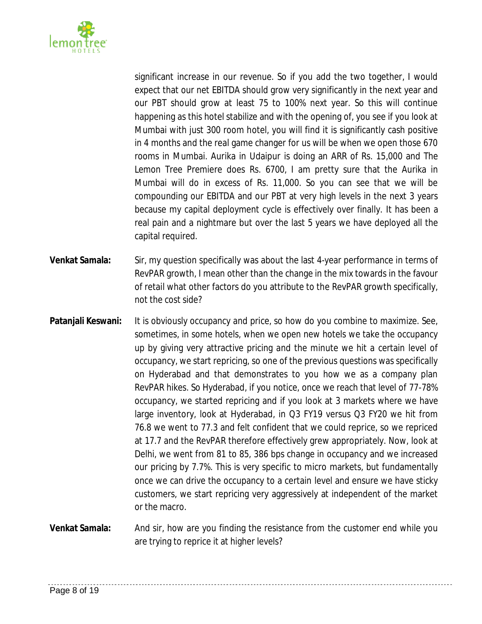

significant increase in our revenue. So if you add the two together, I would expect that our net EBITDA should grow very significantly in the next year and our PBT should grow at least 75 to 100% next year. So this will continue happening as this hotel stabilize and with the opening of, you see if you look at Mumbai with just 300 room hotel, you will find it is significantly cash positive in 4 months and the real game changer for us will be when we open those 670 rooms in Mumbai. Aurika in Udaipur is doing an ARR of Rs. 15,000 and The Lemon Tree Premiere does Rs. 6700, I am pretty sure that the Aurika in Mumbai will do in excess of Rs. 11,000. So you can see that we will be compounding our EBITDA and our PBT at very high levels in the next 3 years because my capital deployment cycle is effectively over finally. It has been a real pain and a nightmare but over the last 5 years we have deployed all the capital required.

- **Venkat Samala:** Sir, my question specifically was about the last 4-year performance in terms of RevPAR growth, I mean other than the change in the mix towards in the favour of retail what other factors do you attribute to the RevPAR growth specifically, not the cost side?
- **Patanjali Keswani:** It is obviously occupancy and price, so how do you combine to maximize. See, sometimes, in some hotels, when we open new hotels we take the occupancy up by giving very attractive pricing and the minute we hit a certain level of occupancy, we start repricing, so one of the previous questions was specifically on Hyderabad and that demonstrates to you how we as a company plan RevPAR hikes. So Hyderabad, if you notice, once we reach that level of 77-78% occupancy, we started repricing and if you look at 3 markets where we have large inventory, look at Hyderabad, in Q3 FY19 versus Q3 FY20 we hit from 76.8 we went to 77.3 and felt confident that we could reprice, so we repriced at 17.7 and the RevPAR therefore effectively grew appropriately. Now, look at Delhi, we went from 81 to 85, 386 bps change in occupancy and we increased our pricing by 7.7%. This is very specific to micro markets, but fundamentally once we can drive the occupancy to a certain level and ensure we have sticky customers, we start repricing very aggressively at independent of the market or the macro.
- **Venkat Samala:** And sir, how are you finding the resistance from the customer end while you are trying to reprice it at higher levels?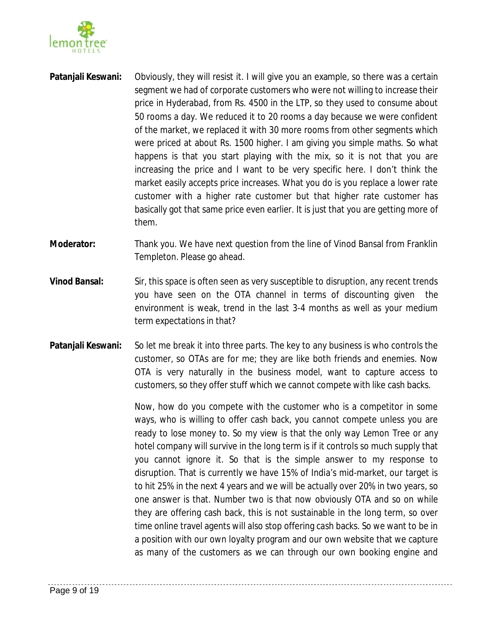

- **Patanjali Keswani:** Obviously, they will resist it. I will give you an example, so there was a certain segment we had of corporate customers who were not willing to increase their price in Hyderabad, from Rs. 4500 in the LTP, so they used to consume about 50 rooms a day. We reduced it to 20 rooms a day because we were confident of the market, we replaced it with 30 more rooms from other segments which were priced at about Rs. 1500 higher. I am giving you simple maths. So what happens is that you start playing with the mix, so it is not that you are increasing the price and I want to be very specific here. I don't think the market easily accepts price increases. What you do is you replace a lower rate customer with a higher rate customer but that higher rate customer has basically got that same price even earlier. It is just that you are getting more of them.
- **Moderator:** Thank you. We have next question from the line of Vinod Bansal from Franklin Templeton. Please go ahead.
- **Vinod Bansal:** Sir, this space is often seen as very susceptible to disruption, any recent trends you have seen on the OTA channel in terms of discounting given the environment is weak, trend in the last 3-4 months as well as your medium term expectations in that?
- **Patanjali Keswani:** So let me break it into three parts. The key to any business is who controls the customer, so OTAs are for me; they are like both friends and enemies. Now OTA is very naturally in the business model, want to capture access to customers, so they offer stuff which we cannot compete with like cash backs.

Now, how do you compete with the customer who is a competitor in some ways, who is willing to offer cash back, you cannot compete unless you are ready to lose money to. So my view is that the only way Lemon Tree or any hotel company will survive in the long term is if it controls so much supply that you cannot ignore it. So that is the simple answer to my response to disruption. That is currently we have 15% of India's mid-market, our target is to hit 25% in the next 4 years and we will be actually over 20% in two years, so one answer is that. Number two is that now obviously OTA and so on while they are offering cash back, this is not sustainable in the long term, so over time online travel agents will also stop offering cash backs. So we want to be in a position with our own loyalty program and our own website that we capture as many of the customers as we can through our own booking engine and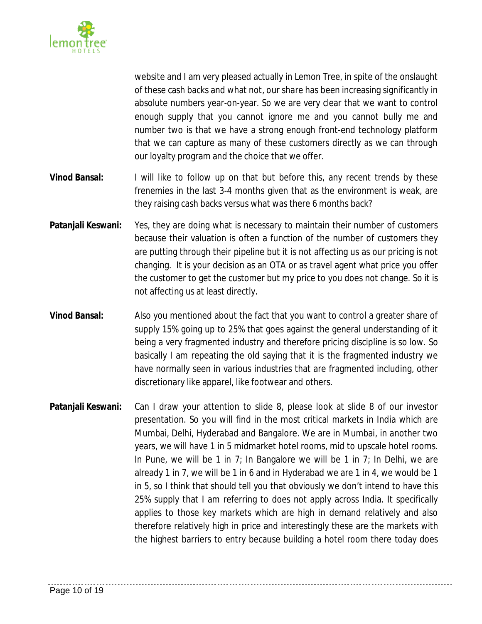

website and I am very pleased actually in Lemon Tree, in spite of the onslaught of these cash backs and what not, our share has been increasing significantly in absolute numbers year-on-year. So we are very clear that we want to control enough supply that you cannot ignore me and you cannot bully me and number two is that we have a strong enough front-end technology platform that we can capture as many of these customers directly as we can through our loyalty program and the choice that we offer.

- **Vinod Bansal:** I will like to follow up on that but before this, any recent trends by these frenemies in the last 3-4 months given that as the environment is weak, are they raising cash backs versus what was there 6 months back?
- **Patanjali Keswani:** Yes, they are doing what is necessary to maintain their number of customers because their valuation is often a function of the number of customers they are putting through their pipeline but it is not affecting us as our pricing is not changing. It is your decision as an OTA or as travel agent what price you offer the customer to get the customer but my price to you does not change. So it is not affecting us at least directly.
- **Vinod Bansal:** Also you mentioned about the fact that you want to control a greater share of supply 15% going up to 25% that goes against the general understanding of it being a very fragmented industry and therefore pricing discipline is so low. So basically I am repeating the old saying that it is the fragmented industry we have normally seen in various industries that are fragmented including, other discretionary like apparel, like footwear and others.
- **Patanjali Keswani:** Can I draw your attention to slide 8, please look at slide 8 of our investor presentation. So you will find in the most critical markets in India which are Mumbai, Delhi, Hyderabad and Bangalore. We are in Mumbai, in another two years, we will have 1 in 5 midmarket hotel rooms, mid to upscale hotel rooms. In Pune, we will be 1 in 7; In Bangalore we will be 1 in  $7$ ; In Delhi, we are already 1 in 7, we will be 1 in 6 and in Hyderabad we are 1 in 4, we would be 1 in 5, so I think that should tell you that obviously we don't intend to have this 25% supply that I am referring to does not apply across India. It specifically applies to those key markets which are high in demand relatively and also therefore relatively high in price and interestingly these are the markets with the highest barriers to entry because building a hotel room there today does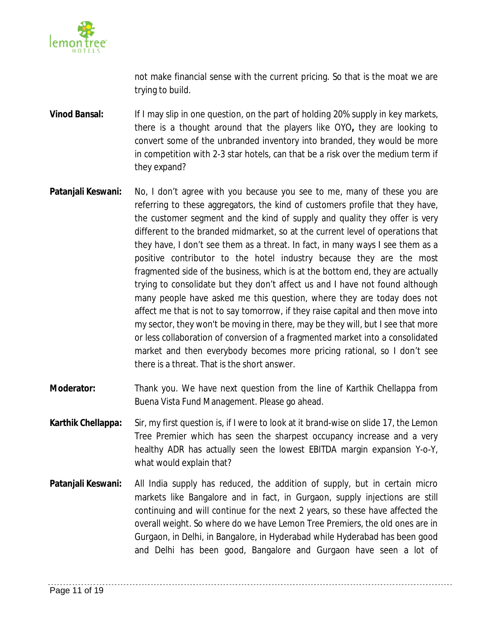

not make financial sense with the current pricing. So that is the moat we are trying to build.

**Vinod Bansal:** If I may slip in one question, on the part of holding 20% supply in key markets, there is a thought around that the players like OYO**,** they are looking to convert some of the unbranded inventory into branded, they would be more in competition with 2-3 star hotels, can that be a risk over the medium term if they expand?

- **Patanjali Keswani:** No, I don't agree with you because you see to me, many of these you are referring to these aggregators, the kind of customers profile that they have, the customer segment and the kind of supply and quality they offer is very different to the branded midmarket, so at the current level of operations that they have, I don't see them as a threat. In fact, in many ways I see them as a positive contributor to the hotel industry because they are the most fragmented side of the business, which is at the bottom end, they are actually trying to consolidate but they don't affect us and I have not found although many people have asked me this question, where they are today does not affect me that is not to say tomorrow, if they raise capital and then move into my sector, they won't be moving in there, may be they will, but I see that more or less collaboration of conversion of a fragmented market into a consolidated market and then everybody becomes more pricing rational, so I don't see there is a threat. That is the short answer.
- **Moderator:** Thank you. We have next question from the line of Karthik Chellappa from Buena Vista Fund Management. Please go ahead.
- **Karthik Chellappa:** Sir, my first question is, if I were to look at it brand-wise on slide 17, the Lemon Tree Premier which has seen the sharpest occupancy increase and a very healthy ADR has actually seen the lowest EBITDA margin expansion Y-o-Y, what would explain that?
- **Patanjali Keswani:** All India supply has reduced, the addition of supply, but in certain micro markets like Bangalore and in fact, in Gurgaon, supply injections are still continuing and will continue for the next 2 years, so these have affected the overall weight. So where do we have Lemon Tree Premiers, the old ones are in Gurgaon, in Delhi, in Bangalore, in Hyderabad while Hyderabad has been good and Delhi has been good, Bangalore and Gurgaon have seen a lot of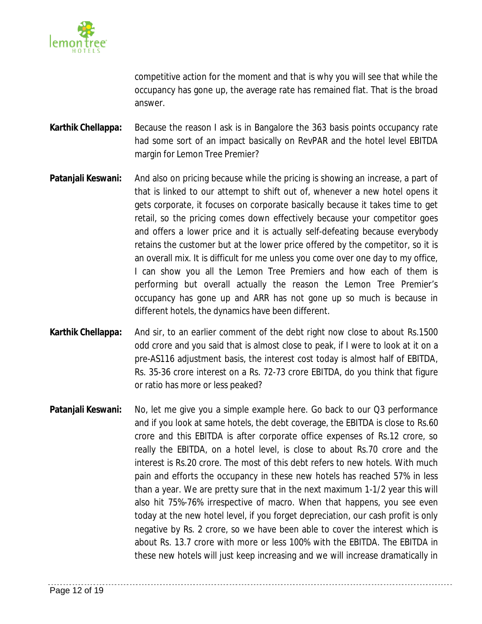

competitive action for the moment and that is why you will see that while the occupancy has gone up, the average rate has remained flat. That is the broad answer.

- **Karthik Chellappa:** Because the reason I ask is in Bangalore the 363 basis points occupancy rate had some sort of an impact basically on RevPAR and the hotel level EBITDA margin for Lemon Tree Premier?
- **Patanjali Keswani:** And also on pricing because while the pricing is showing an increase, a part of that is linked to our attempt to shift out of, whenever a new hotel opens it gets corporate, it focuses on corporate basically because it takes time to get retail, so the pricing comes down effectively because your competitor goes and offers a lower price and it is actually self-defeating because everybody retains the customer but at the lower price offered by the competitor, so it is an overall mix. It is difficult for me unless you come over one day to my office, I can show you all the Lemon Tree Premiers and how each of them is performing but overall actually the reason the Lemon Tree Premier's occupancy has gone up and ARR has not gone up so much is because in different hotels, the dynamics have been different.
- **Karthik Chellappa:** And sir, to an earlier comment of the debt right now close to about Rs.1500 odd crore and you said that is almost close to peak, if I were to look at it on a pre-AS116 adjustment basis, the interest cost today is almost half of EBITDA, Rs. 35-36 crore interest on a Rs. 72-73 crore EBITDA, do you think that figure or ratio has more or less peaked?
- **Patanjali Keswani:** No, let me give you a simple example here. Go back to our Q3 performance and if you look at same hotels, the debt coverage, the EBITDA is close to Rs.60 crore and this EBITDA is after corporate office expenses of Rs.12 crore, so really the EBITDA, on a hotel level, is close to about Rs.70 crore and the interest is Rs.20 crore. The most of this debt refers to new hotels. With much pain and efforts the occupancy in these new hotels has reached 57% in less than a year. We are pretty sure that in the next maximum 1-1/2 year this will also hit 75%-76% irrespective of macro. When that happens, you see even today at the new hotel level, if you forget depreciation, our cash profit is only negative by Rs. 2 crore, so we have been able to cover the interest which is about Rs. 13.7 crore with more or less 100% with the EBITDA. The EBITDA in these new hotels will just keep increasing and we will increase dramatically in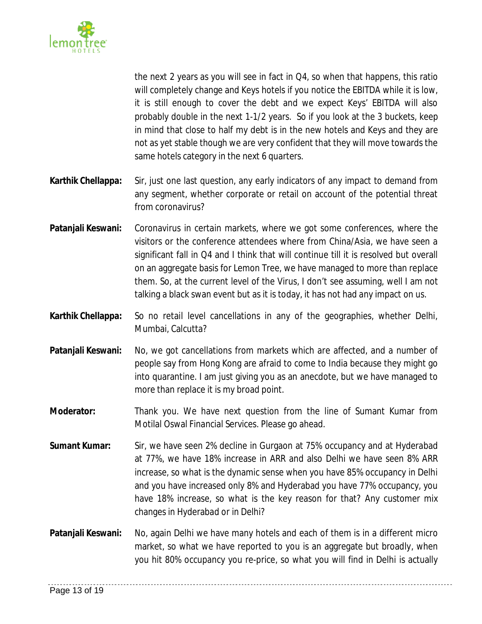

the next 2 years as you will see in fact in Q4, so when that happens, this ratio will completely change and Keys hotels if you notice the EBITDA while it is low, it is still enough to cover the debt and we expect Keys' EBITDA will also probably double in the next 1-1/2 years. So if you look at the 3 buckets, keep in mind that close to half my debt is in the new hotels and Keys and they are not as yet stable though we are very confident that they will move towards the same hotels category in the next 6 quarters.

- **Karthik Chellappa:** Sir, just one last question, any early indicators of any impact to demand from any segment, whether corporate or retail on account of the potential threat from coronavirus?
- **Patanjali Keswani:** Coronavirus in certain markets, where we got some conferences, where the visitors or the conference attendees where from China/Asia, we have seen a significant fall in Q4 and I think that will continue till it is resolved but overall on an aggregate basis for Lemon Tree, we have managed to more than replace them. So, at the current level of the Virus, I don't see assuming, well I am not talking a black swan event but as it is today, it has not had any impact on us.
- **Karthik Chellappa:** So no retail level cancellations in any of the geographies, whether Delhi, Mumbai, Calcutta?
- **Patanjali Keswani:** No, we got cancellations from markets which are affected, and a number of people say from Hong Kong are afraid to come to India because they might go into quarantine. I am just giving you as an anecdote, but we have managed to more than replace it is my broad point.
- **Moderator:** Thank you. We have next question from the line of Sumant Kumar from Motilal Oswal Financial Services. Please go ahead.
- **Sumant Kumar:** Sir, we have seen 2% decline in Gurgaon at 75% occupancy and at Hyderabad at 77%, we have 18% increase in ARR and also Delhi we have seen 8% ARR increase, so what is the dynamic sense when you have 85% occupancy in Delhi and you have increased only 8% and Hyderabad you have 77% occupancy, you have 18% increase, so what is the key reason for that? Any customer mix changes in Hyderabad or in Delhi?
- **Patanjali Keswani:** No, again Delhi we have many hotels and each of them is in a different micro market, so what we have reported to you is an aggregate but broadly, when you hit 80% occupancy you re-price, so what you will find in Delhi is actually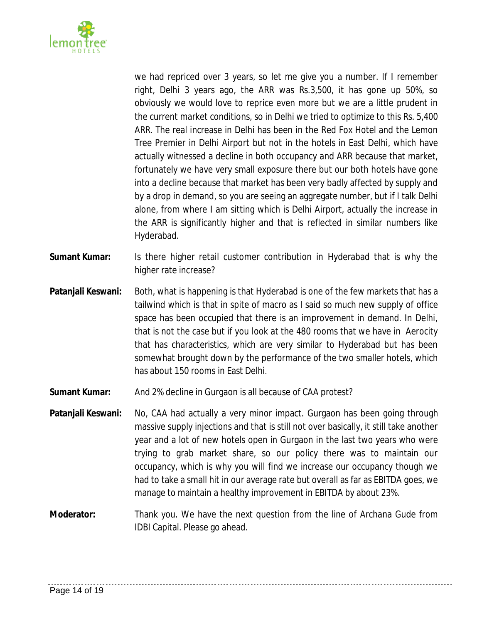

we had repriced over 3 years, so let me give you a number. If I remember right, Delhi 3 years ago, the ARR was Rs.3,500, it has gone up 50%, so obviously we would love to reprice even more but we are a little prudent in the current market conditions, so in Delhi we tried to optimize to this Rs. 5,400 ARR. The real increase in Delhi has been in the Red Fox Hotel and the Lemon Tree Premier in Delhi Airport but not in the hotels in East Delhi, which have actually witnessed a decline in both occupancy and ARR because that market, fortunately we have very small exposure there but our both hotels have gone into a decline because that market has been very badly affected by supply and by a drop in demand, so you are seeing an aggregate number, but if I talk Delhi alone, from where I am sitting which is Delhi Airport, actually the increase in the ARR is significantly higher and that is reflected in similar numbers like Hyderabad.

- **Sumant Kumar:** Is there higher retail customer contribution in Hyderabad that is why the higher rate increase?
- **Patanjali Keswani:** Both, what is happening is that Hyderabad is one of the few markets that has a tailwind which is that in spite of macro as I said so much new supply of office space has been occupied that there is an improvement in demand. In Delhi, that is not the case but if you look at the 480 rooms that we have in Aerocity that has characteristics, which are very similar to Hyderabad but has been somewhat brought down by the performance of the two smaller hotels, which has about 150 rooms in East Delhi.
- **Sumant Kumar:** And 2% decline in Gurgaon is all because of CAA protest?
- **Patanjali Keswani:** No, CAA had actually a very minor impact. Gurgaon has been going through massive supply injections and that is still not over basically, it still take another year and a lot of new hotels open in Gurgaon in the last two years who were trying to grab market share, so our policy there was to maintain our occupancy, which is why you will find we increase our occupancy though we had to take a small hit in our average rate but overall as far as EBITDA goes, we manage to maintain a healthy improvement in EBITDA by about 23%.
- **Moderator:** Thank you. We have the next question from the line of Archana Gude from IDBI Capital. Please go ahead.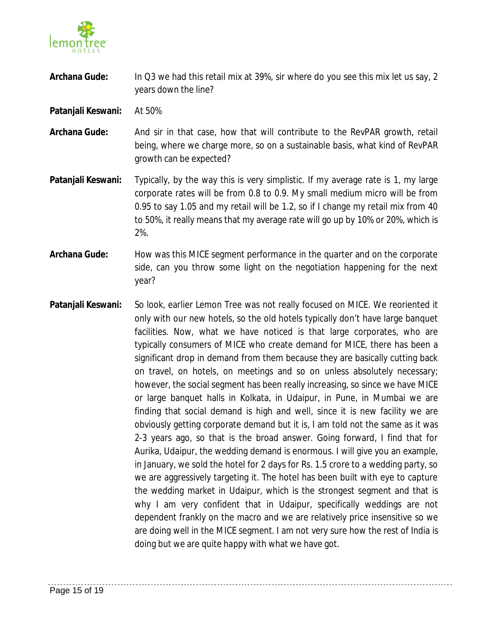

- **Archana Gude:** In Q3 we had this retail mix at 39%, sir where do you see this mix let us say, 2 years down the line?
- **Patanjali Keswani:** At 50%
- **Archana Gude:** And sir in that case, how that will contribute to the RevPAR growth, retail being, where we charge more, so on a sustainable basis, what kind of RevPAR growth can be expected?
- **Patanjali Keswani:** Typically, by the way this is very simplistic. If my average rate is 1, my large corporate rates will be from 0.8 to 0.9. My small medium micro will be from 0.95 to say 1.05 and my retail will be 1.2, so if I change my retail mix from 40 to 50%, it really means that my average rate will go up by 10% or 20%, which is 2%.
- **Archana Gude:** How was this MICE segment performance in the quarter and on the corporate side, can you throw some light on the negotiation happening for the next year?
- **Patanjali Keswani:** So look, earlier Lemon Tree was not really focused on MICE. We reoriented it only with our new hotels, so the old hotels typically don't have large banquet facilities. Now, what we have noticed is that large corporates, who are typically consumers of MICE who create demand for MICE, there has been a significant drop in demand from them because they are basically cutting back on travel, on hotels, on meetings and so on unless absolutely necessary; however, the social segment has been really increasing, so since we have MICE or large banquet halls in Kolkata, in Udaipur, in Pune, in Mumbai we are finding that social demand is high and well, since it is new facility we are obviously getting corporate demand but it is, I am told not the same as it was 2-3 years ago, so that is the broad answer. Going forward, I find that for Aurika, Udaipur, the wedding demand is enormous. I will give you an example, in January, we sold the hotel for 2 days for Rs. 1.5 crore to a wedding party, so we are aggressively targeting it. The hotel has been built with eye to capture the wedding market in Udaipur, which is the strongest segment and that is why I am very confident that in Udaipur, specifically weddings are not dependent frankly on the macro and we are relatively price insensitive so we are doing well in the MICE segment. I am not very sure how the rest of India is doing but we are quite happy with what we have got.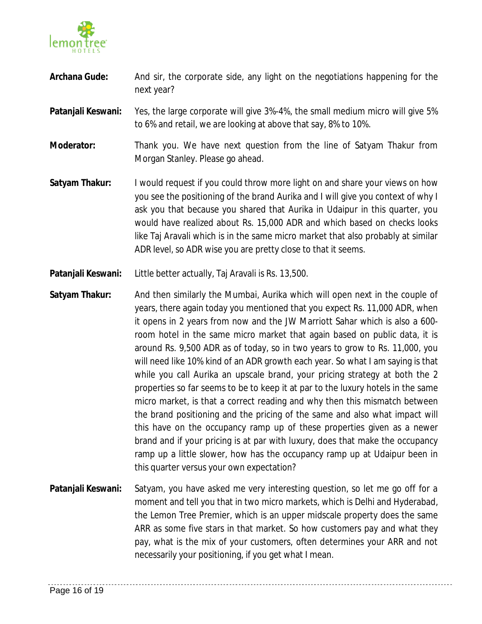

- Archana Gude: And sir, the corporate side, any light on the negotiations happening for the next year?
- **Patanjali Keswani:** Yes, the large corporate will give 3%-4%, the small medium micro will give 5% to 6% and retail, we are looking at above that say, 8% to 10%.
- **Moderator:** Thank you. We have next question from the line of Satyam Thakur from Morgan Stanley. Please go ahead.
- **Satyam Thakur:** I would request if you could throw more light on and share your views on how you see the positioning of the brand Aurika and I will give you context of why I ask you that because you shared that Aurika in Udaipur in this quarter, you would have realized about Rs. 15,000 ADR and which based on checks looks like Taj Aravali which is in the same micro market that also probably at similar ADR level, so ADR wise you are pretty close to that it seems.
- **Patanjali Keswani:** Little better actually, Taj Aravali is Rs. 13,500.
- **Satyam Thakur:** And then similarly the Mumbai, Aurika which will open next in the couple of years, there again today you mentioned that you expect Rs. 11,000 ADR, when it opens in 2 years from now and the JW Marriott Sahar which is also a 600 room hotel in the same micro market that again based on public data, it is around Rs. 9,500 ADR as of today, so in two years to grow to Rs. 11,000, you will need like 10% kind of an ADR growth each year. So what I am saying is that while you call Aurika an upscale brand, your pricing strategy at both the 2 properties so far seems to be to keep it at par to the luxury hotels in the same micro market, is that a correct reading and why then this mismatch between the brand positioning and the pricing of the same and also what impact will this have on the occupancy ramp up of these properties given as a newer brand and if your pricing is at par with luxury, does that make the occupancy ramp up a little slower, how has the occupancy ramp up at Udaipur been in this quarter versus your own expectation?
- **Patanjali Keswani:** Satyam, you have asked me very interesting question, so let me go off for a moment and tell you that in two micro markets, which is Delhi and Hyderabad, the Lemon Tree Premier, which is an upper midscale property does the same ARR as some five stars in that market. So how customers pay and what they pay, what is the mix of your customers, often determines your ARR and not necessarily your positioning, if you get what I mean.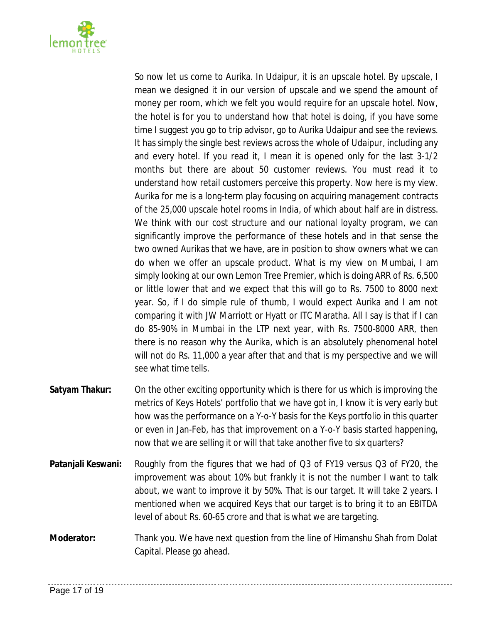

So now let us come to Aurika. In Udaipur, it is an upscale hotel. By upscale, I mean we designed it in our version of upscale and we spend the amount of money per room, which we felt you would require for an upscale hotel. Now, the hotel is for you to understand how that hotel is doing, if you have some time I suggest you go to trip advisor, go to Aurika Udaipur and see the reviews. It has simply the single best reviews across the whole of Udaipur, including any and every hotel. If you read it, I mean it is opened only for the last 3-1/2 months but there are about 50 customer reviews. You must read it to understand how retail customers perceive this property. Now here is my view. Aurika for me is a long-term play focusing on acquiring management contracts of the 25,000 upscale hotel rooms in India, of which about half are in distress. We think with our cost structure and our national loyalty program, we can significantly improve the performance of these hotels and in that sense the two owned Aurikas that we have, are in position to show owners what we can do when we offer an upscale product. What is my view on Mumbai, I am simply looking at our own Lemon Tree Premier, which is doing ARR of Rs. 6,500 or little lower that and we expect that this will go to Rs. 7500 to 8000 next year. So, if I do simple rule of thumb, I would expect Aurika and I am not comparing it with JW Marriott or Hyatt or ITC Maratha. All I say is that if I can do 85-90% in Mumbai in the LTP next year, with Rs. 7500-8000 ARR, then there is no reason why the Aurika, which is an absolutely phenomenal hotel will not do Rs. 11,000 a year after that and that is my perspective and we will see what time tells.

- **Satyam Thakur:** On the other exciting opportunity which is there for us which is improving the metrics of Keys Hotels' portfolio that we have got in, I know it is very early but how was the performance on a Y-o-Y basis for the Keys portfolio in this quarter or even in Jan-Feb, has that improvement on a Y-o-Y basis started happening, now that we are selling it or will that take another five to six quarters?
- **Patanjali Keswani:** Roughly from the figures that we had of Q3 of FY19 versus Q3 of FY20, the improvement was about 10% but frankly it is not the number I want to talk about, we want to improve it by 50%. That is our target. It will take 2 years. I mentioned when we acquired Keys that our target is to bring it to an EBITDA level of about Rs. 60-65 crore and that is what we are targeting.
- **Moderator:** Thank you. We have next question from the line of Himanshu Shah from Dolat Capital. Please go ahead.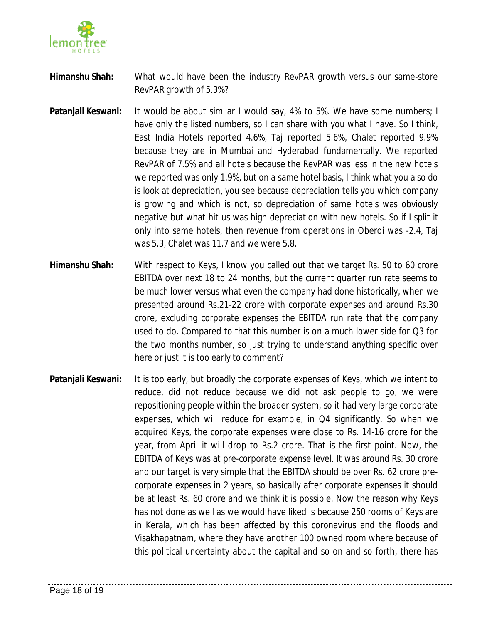

- **Himanshu Shah:** What would have been the industry RevPAR growth versus our same-store RevPAR growth of 5.3%?
- **Patanjali Keswani:** It would be about similar I would say, 4% to 5%. We have some numbers; I have only the listed numbers, so I can share with you what I have. So I think, East India Hotels reported 4.6%, Taj reported 5.6%, Chalet reported 9.9% because they are in Mumbai and Hyderabad fundamentally. We reported RevPAR of 7.5% and all hotels because the RevPAR was less in the new hotels we reported was only 1.9%, but on a same hotel basis, I think what you also do is look at depreciation, you see because depreciation tells you which company is growing and which is not, so depreciation of same hotels was obviously negative but what hit us was high depreciation with new hotels. So if I split it only into same hotels, then revenue from operations in Oberoi was -2.4, Taj was 5.3, Chalet was 11.7 and we were 5.8.
- **Himanshu Shah:** With respect to Keys, I know you called out that we target Rs. 50 to 60 crore EBITDA over next 18 to 24 months, but the current quarter run rate seems to be much lower versus what even the company had done historically, when we presented around Rs.21-22 crore with corporate expenses and around Rs.30 crore, excluding corporate expenses the EBITDA run rate that the company used to do. Compared to that this number is on a much lower side for Q3 for the two months number, so just trying to understand anything specific over here or just it is too early to comment?
- **Patanjali Keswani:** It is too early, but broadly the corporate expenses of Keys, which we intent to reduce, did not reduce because we did not ask people to go, we were repositioning people within the broader system, so it had very large corporate expenses, which will reduce for example, in Q4 significantly. So when we acquired Keys, the corporate expenses were close to Rs. 14-16 crore for the year, from April it will drop to Rs.2 crore. That is the first point. Now, the EBITDA of Keys was at pre-corporate expense level. It was around Rs. 30 crore and our target is very simple that the EBITDA should be over Rs. 62 crore precorporate expenses in 2 years, so basically after corporate expenses it should be at least Rs. 60 crore and we think it is possible. Now the reason why Keys has not done as well as we would have liked is because 250 rooms of Keys are in Kerala, which has been affected by this coronavirus and the floods and Visakhapatnam, where they have another 100 owned room where because of this political uncertainty about the capital and so on and so forth, there has